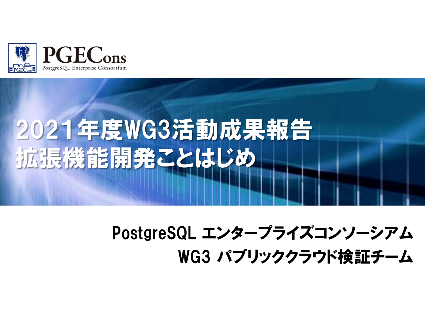

# 2021年度WG3活動成果報告 拡張機能開発ことはじめ

# PostgreSQL エンタープライズコンソーシアム WG3 パブリッククラウド検証チーム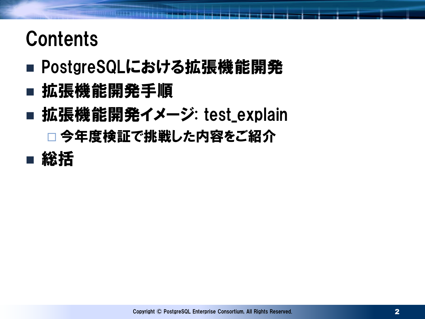# **Contents**

- PostgreSQLにおける拡張機能開発
- 拡張機能開発手順
- 拡張機能開発イメージ: test\_explain □ 今年度検証で挑戦した内容をご紹介
- 総括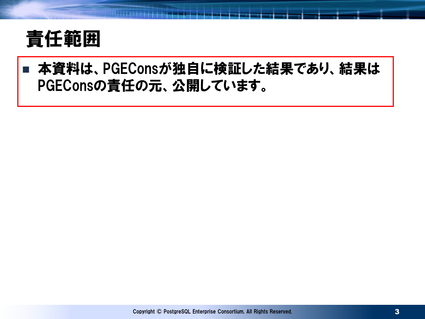

#### ■ 本資料は、PGEConsが独自に検証した結果であり、結果は PGEConsの責任の元、公開しています。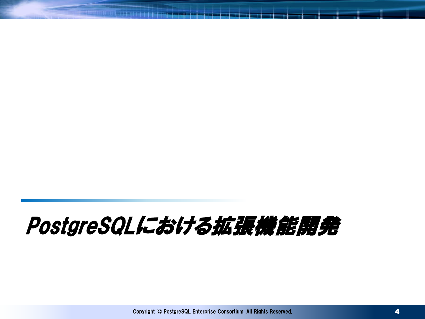# PostgreSQLにおける拡張機能開発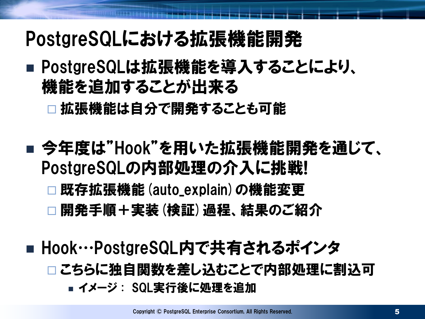# PostgreSQLにおける拡張機能開発

■ PostgreSQLは拡張機能を導入することにより、 機能を追加することが出来る

□ 拡張機能は自分で開発することも可能

■ 今年度は"Hook"を用いた拡張機能開発を通じて、 PostgreSQLの内部処理の介入に挑戦!

□ 既存拡張機能 (auto\_explain) の機能変更

□開発手順+実装(検証)過程、結果のご紹介

■ Hook…PostgreSQL内で共有されるポインタ □こちらに独自関数を差し込むことで内部処理に割込可 イメージ : SQL実行後に処理を追加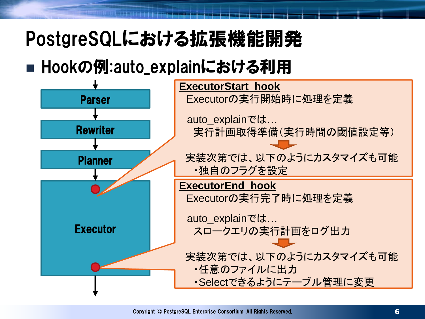# PostgreSQLにおける拡張機能開発

### ■ Hookの例:auto\_explainにおける利用

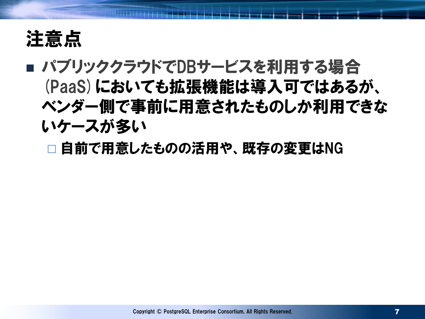

### ■ パブリッククラウドでDBサービスを利用する場合 (PaaS)においても拡張機能は導入可ではあるが、 ベンダー側で事前に用意されたものしか利用できな いケースが多い

□自前で用意したものの活用や、 既存の変更はNG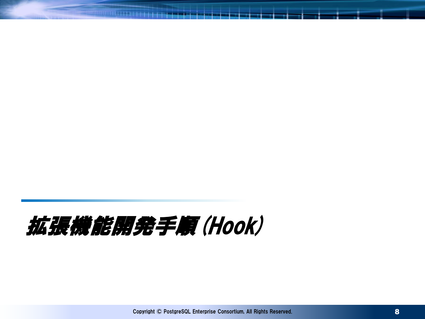# 拡張機能開発手順(Hook)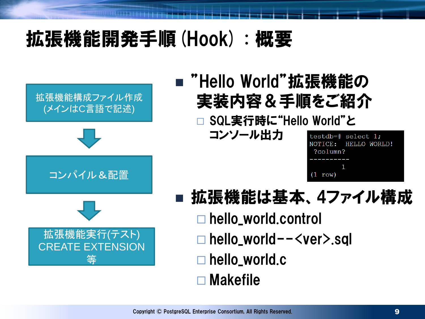# 拡張機能開発手順(Hook) : 概要



### ■ "Hello World"拡張機能の 実装内容&手順をご紹介

SQL実行時に"Hello World"と

コンソール出力

| testdb=# select 1; |         |  |                      |  |  |
|--------------------|---------|--|----------------------|--|--|
|                    |         |  | NOTICE: HELLO WORLD! |  |  |
| ?column?           |         |  |                      |  |  |
|                    |         |  |                      |  |  |
|                    |         |  |                      |  |  |
|                    | (1 row) |  |                      |  |  |

- 拡張機能は基本、 4ファイル構成
	- hello\_world.control
		- hello\_world--<ver>.sql
		- hello\_world.c
		- Makefile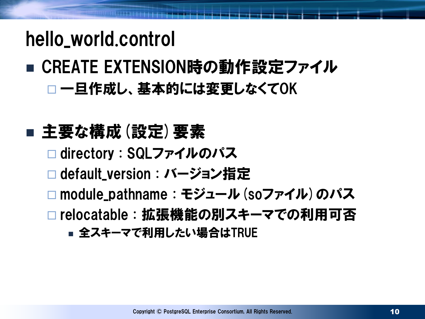## hello\_world.control

### ■ CREATE EXTENSION時の動作設定ファイル □ 一旦作成し、基本的には変更しなくてOK

### ■ 主要な構成 (設定) 要素

- □ directory : SQLファイルのパス
- **□ default\_version : バージョン指定**
- □ module\_pathname : モジュール (soファイル) のパス
- □ relocatable : 拡張機能の別スキーマでの利用可否
	- 全スキーマで利用したい場合はTRUE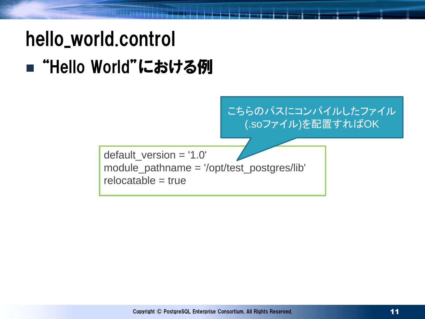# hello\_world.control ■ "Hello World"における例

default\_version = '1.0' module\_pathname = '/opt/test\_postgres/lib'  $relocated be = true$ こちらのパスにコンパイルしたファイル (.soファイル)を配置すればOK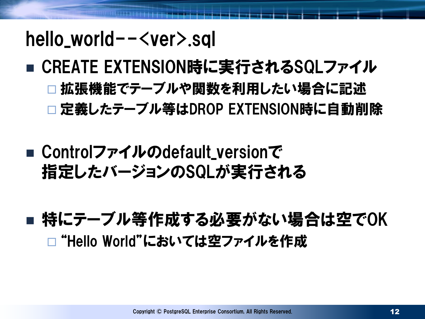### hello\_world--<ver>.sql

- CREATE EXTENSION時に実行されるSQLファイル 拡張機能でテーブルや関数を利用したい場合に記述 □定義したテーブル等はDROP EXTENSION時に自動削除
- Controlファイルのdefault\_versionで 指定したバージョンのSQLが実行される
- 特にテーブル等作成する必要がない場合は空でOK □ "Hello World"においては空ファイルを作成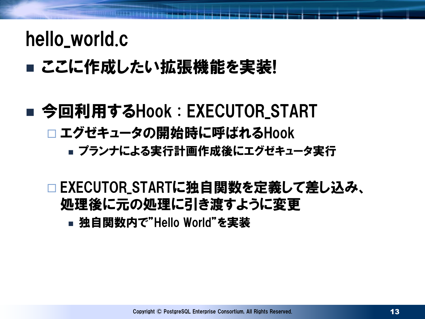### hello\_world.c

### ■ ここに作成したい拡張機能を実装!

# ■ 今回利用するHook : EXECUTOR\_START □ エグゼキュータの開始時に呼ばれるHook

プランナによる実行計画作成後にエグゼキュータ実行

□ EXECUTOR\_STARTに独自関数を定義して差し込み、 処理後に元の処理に引き渡すように変更

独自関数内で"Hello World"を実装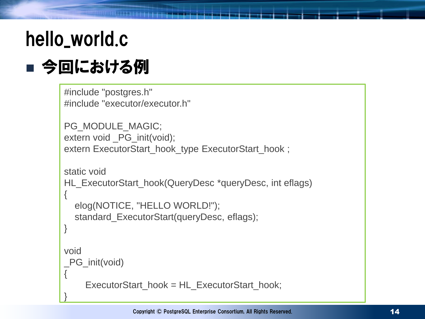# hello\_world.c ■ 今回における例

```
#include "postgres.h"
#include "executor/executor.h"
PG_MODULE_MAGIC;
extern void _PG_init(void);
```

```
extern ExecutorStart_hook_type ExecutorStart_hook ;
```

```
static void
HL_ExecutorStart_hook(QueryDesc *queryDesc, int eflags)
{
  elog(NOTICE, "HELLO WORLD!");
  standard_ExecutorStart(queryDesc, eflags);
}
void
_PG_init(void)
{
    ExecutorStart_hook = HL_ExecutorStart_hook;
}
```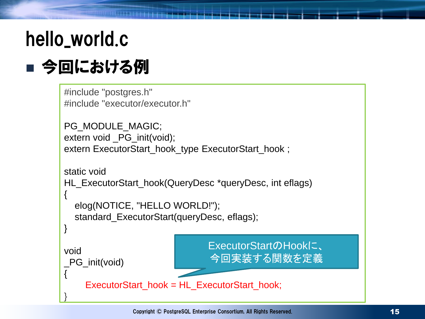# hello\_world.c ■ 今回における例

```
#include "postgres.h"
#include "executor/executor.h"
PG_MODULE_MAGIC;
extern void _PG_init(void);
extern ExecutorStart_hook_type ExecutorStart_hook ;
static void
HL_ExecutorStart_hook(QueryDesc *queryDesc, int eflags)
{
  elog(NOTICE, "HELLO WORLD!");
  standard_ExecutorStart(queryDesc, eflags);
}
void
_PG_init(void)
{
    ExecutorStart_hook = HL_ExecutorStart_hook;
}
                               ExecutorStartのHookに、
                               今回実装する関数を定義
```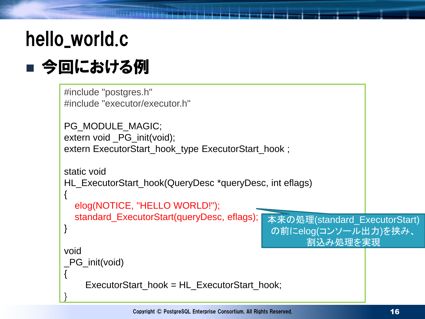# hello\_world.c ■ 今回における例

```
#include "postgres.h"
#include "executor/executor.h"
PG_MODULE_MAGIC;
extern void _PG_init(void);
extern ExecutorStart_hook_type ExecutorStart_hook ;
static void
HL_ExecutorStart_hook(QueryDesc *queryDesc, int eflags)
{
  elog(NOTICE, "HELLO WORLD!");
  standard_ExecutorStart(queryDesc, eflags); [
}
void
_PG_init(void)
{
    ExecutorStart_hook = HL_ExecutorStart_hook;
}
                                           本来の処理(standard ExecutorStart)
                                            の前にelog(コンソール出力)を挟み、
                                                    割込み処理を実現
```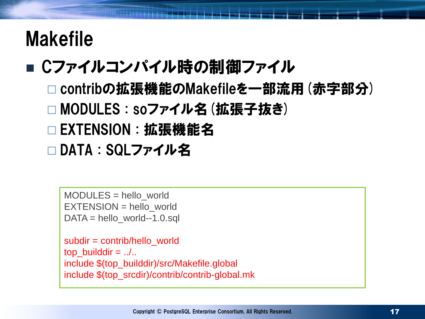# Makefile

### ■ Cファイルコンパイル時の制御ファイル

- contribの拡張機能のMakefileを一部流用(赤字部分) □ MODULES : soファイル名 (拡張子抜き) □ EXTENSION : 拡張機能名
- □DATA : SQLファイル名

MODULES = hello\_world EXTENSION = hello\_world DATA = hello\_world--1.0.sql

```
subdir = contrib/hello_world
top\_builddir = ....
include $(top_builddir)/src/Makefile.global
include $(top_srcdir)/contrib/contrib-global.mk
```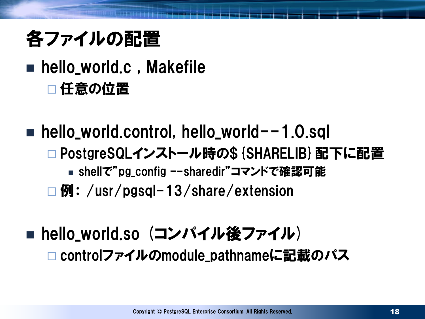# 各ファイルの配置

### hello\_world.c , Makefile □任意の位置

 $\blacksquare$  hello\_world.control, hello\_world--1.0.sql □PostgreSQLインストール時の\${SHARELIB}配下に配置 ■ shellで"pg\_config --sharedir"コマンドで確認可能 □ 例: /usr/pgsql-13/share/extension

### ■ hello\_world.so (コンパイル後ファイル) □ controlファイルのmodule\_pathnameに記載のパス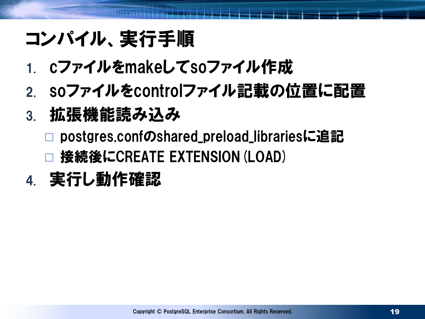# コンパイル、実行手順

- 1. cファイルをmakeしてsoファイル作成
- 2. soファイルをcontrolファイル記載の位置に配置
- 3. 拡張機能読み込み
	- postgres.confのshared\_preload\_librariesに追記 接続後にCREATE EXTENSION(LOAD)
- 4. 実行し動作確認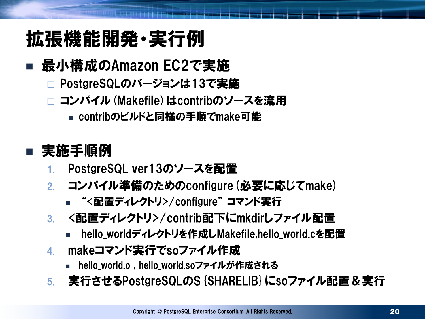# 拡張機能開発・実行例

### ■ 最小構成のAmazon EC2で実施

- PostgreSQLのバージョンは13で実施
- □ コンパイル (Makefile) はcontribのソースを流用
	- contribのビルドと同様の手順でmake可能

#### ■ 実施手順例

- 1. PostgreSQL ver13のソースを配置
- 2. コンパイル準備のためのconfigure(必要に応じてmake)
	- "<配置ディレクトリ>/configure" コマンド実行
- 3. <配置ディレクトリ>/contrib配下にmkdirしファイル配置
	- hello\_worldディレクトリを作成しMakefile,hello\_world.cを配置
- 4. makeコマンド実行でsoファイル作成
	- hello\_world.o , hello\_world.soファイルが作成される
- 5. 実行させるPostgreSQLの\${SHARELIB}にsoファイル配置&実行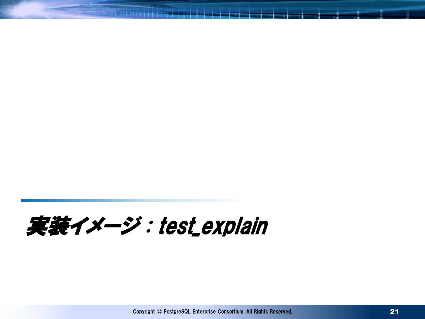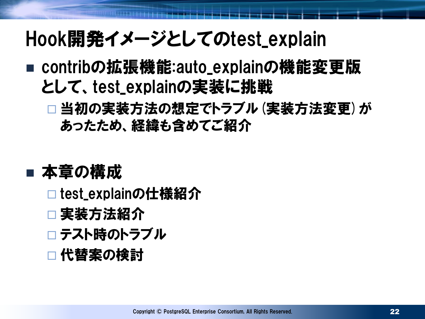# Hook開発イメージとしてのtest\_explain

- contribの拡張機能:auto\_explainの機能変更版 として、test\_explainの実装に挑戦
	- □ 当初の実装方法の想定でトラブル (実装方法変更) が あったため、経緯も含めてご紹介

### ■ 本章の構成

- □test\_explainの仕様紹介
- □ 実装方法紹介
- □ テスト時のトラブル
- □ 代替案の検討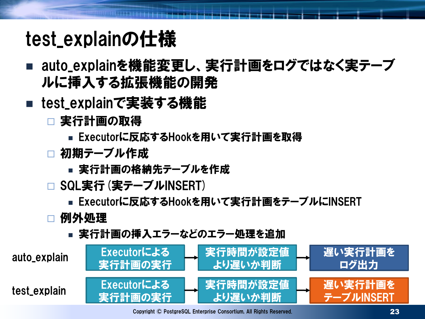# test\_explainの仕様

- auto\_explainを機能変更し、実行計画をログではなく実テーブ ルに挿入する拡張機能の開発
- test\_explainで実装する機能
	- 実行計画の取得
		- Executorに反応するHookを用いて実行計画を取得
	- □ 初期テーブル作成
		- 実行計画の格納先テーブルを作成
	- □ SQL実行 (実テーブルINSERT)
		- Executorに反応するHookを用いて実行計画をテーブルにINSERT
	- 例外処理
		- 実行計画の挿入エラーなどのエラー処理を追加



Copyright © PostgreSQL Enterprise Consortium, All Rights Reserved.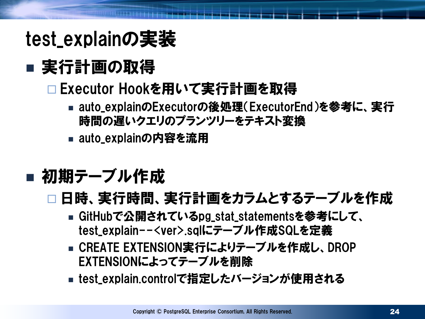# test\_explainの実装

# ■ 実行計画の取得

### □ Executor Hookを用いて実行計画を取得

- auto\_explainのExecutorの後処理(ExecutorEnd)を参考に、実行 時間の遅いクエリのプランツリーをテキスト変換
- auto\_explainの内容を流用
- 初期テーブル作成
	- □ 日時、 実行時間、 実行計画をカラムとするテーブルを作成
		- GitHubで公開されているpg\_stat\_statementsを参考にして、 test\_explain--<ver>.sqlにテーブル作成SQLを定義
		- CREATE EXTENSION実行によりテーブルを作成し、DROP EXTENSIONによってテーブルを削除
		- test\_explain.controlで指定したバージョンが使用される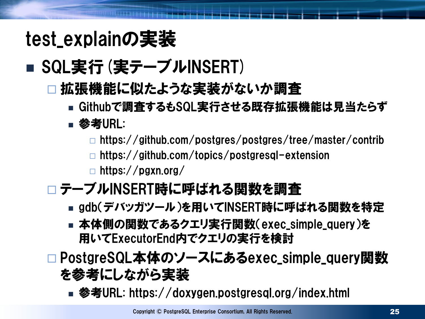# test\_explainの実装

## ■ SQL実行 (実テーブルINSERT)

#### 拡張機能に似たような実装がないか調査

Githubで調査するもSQL実行させる既存拡張機能は見当たらず

#### ■ 参考URL:

https://github.com/postgres/postgres/tree/master/contrib

https://github.com/topics/postgresql-extension

 $\Box$  https://pgxn.org/

#### □テーブルINSERT時に呼ばれる関数を調査

- gdb(デバッガツール)を用いてINSERT時に呼ばれる関数を特定
- 本体側の関数であるクエリ実行関数(exec\_simple\_query)を 用いてExecutorEnd内でクエリの実行を検討

#### □PostgreSQL本体のソースにあるexec\_simple\_query関数 を参考にしながら実装

■ 参考URL: https://doxygen.postgresql.org/index.html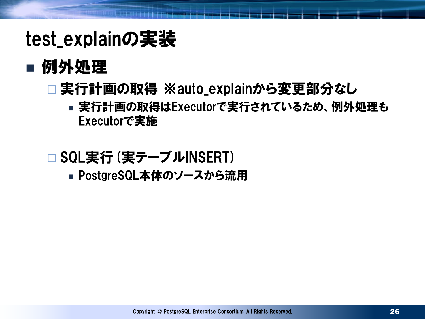# test\_explainの実装

### ■ 例外処理

### □実行計画の取得 ※auto\_explainから変更部分なし

 実行計画の取得はExecutorで実行されているため、例外処理も Executorで実施

#### □ SQL実行 (実テーブルINSERT)

■ PostgreSQL本体のソースから流用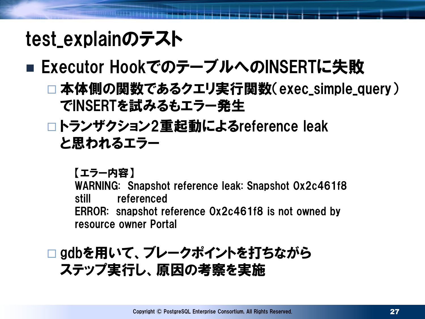# test\_explainのテスト

### ■ Executor HookでのテーブルへのINSERTに失敗

- 本体側の関数であるクエリ実行関数(exec\_simple\_query) でINSERTを試みるもエラー発生
- トランザクション2重起動によるreference leak と思われるエラー

【エラー内容】

WARNING: Snapshot reference leak: Snapshot 0x2c461f8 still referenced ERROR: snapshot reference 0x2c461f8 is not owned by resource owner Portal

#### □ gdbを用いて、ブレークポイントを打ちながら ステップ実行し、原因の考察を実施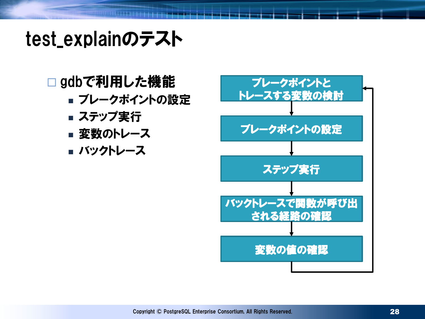# test\_explainのテスト

#### □gdbで利用した機能

- ブレークポイントの設定
- ステップ実行
- 変数のトレース
- バックトレース

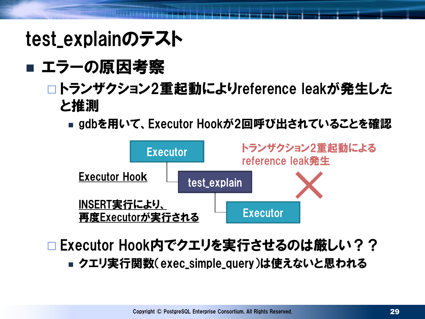# test\_explainのテスト

### ■ エラーの原因考察

#### □トランザクション2重起動によりreference leakが発生した と推測

■ gdbを用いて、Executor Hookが2回呼び出されていることを確認



- □ Executor Hook内でクエリを実行させるのは厳しい??
	- クエリ実行関数(exec\_simple\_query)は使えないと思われる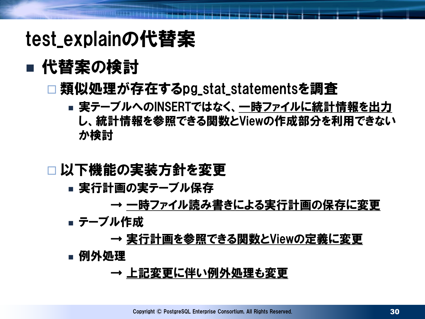# test\_explainの代替案

### ■ 代替案の検討

#### 類似処理が存在するpg\_stat\_statementsを調査

■実テーブルへのINSERTではなく、 一時ファイルに統計情報を出力 し、統計情報を参照できる関数とViewの作成部分を利用できない か検討

#### □以下機能の実装方針を変更

- 実行計画の実テーブル保存
	- → 一時ファイル読み書きによる実行計画の保存に変更
- テーブル作成

#### → 実行計画を参照できる関数とViewの定義に変更

■ 例外処理

#### → 上記変更に伴い例外処理も変更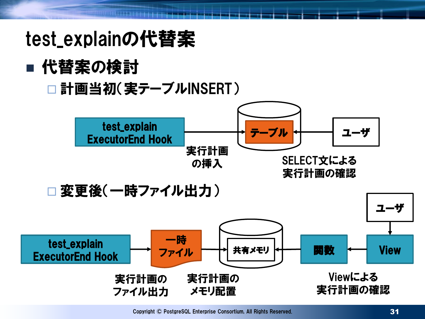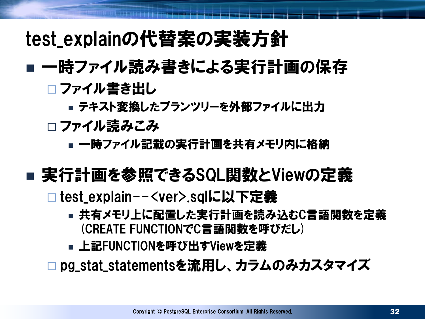## test\_explainの代替案の実装方針

### ■ 一時ファイル読み書きによる実行計画の保存 □ ファイル書き出し

■ テキスト変換したプランツリーを外部ファイルに出力

**□ ファイル読みこみ** 

■ 一時ファイル記載の実行計画を共有メモリ内に格納

### ■ 実行計画を参照できるSQL関数とViewの定義

**□ test\_explain--<ver>.sqlに以下定義** 

- 共有メモリ上に配置した実行計画を読み込むC言語関数を定義 (CREATE FUNCTIONでC言語関数を呼びだし)
- 上記FUNCTIONを呼び出すViewを定義

□ pg\_stat\_statementsを流用し、 カラムのみカスタマイズ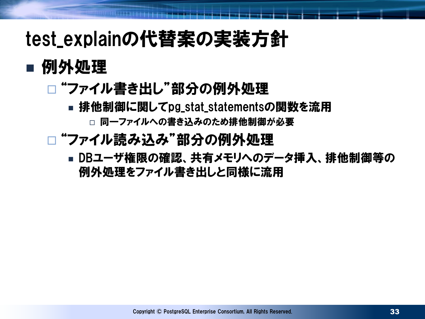# test\_explainの代替案の実装方針

### ■ 例外処理

### □ "ファイル書き出し"部分の例外処理

- 排他制御に関してpg\_stat\_statementsの関数を流用 □ 同一ファイルへの書き込みのため排他制御が必要
- □ "ファイル読み込み"部分の例外処理
	- DBユーザ権限の確認、共有メモリへのデータ挿入、排他制御等の 例外処理をファイル書き出しと同様に流用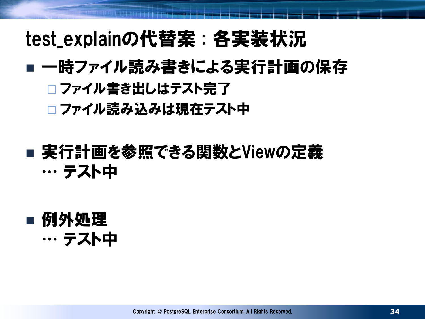# test\_explainの代替案 : 各実装状況

### ■ 一時ファイル読み書きによる実行計画の保存 □ファイル書き出しはテスト完了

□ファイル読み込みは現在テスト中

### ■実行計画を参照できる関数とViewの定義 … テスト中

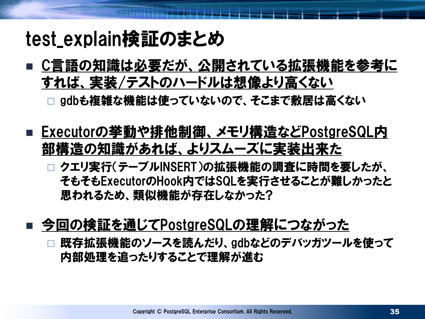## test\_explain検証のまとめ

■ C言語の知識は必要だが、 公開されている拡張機能を参考に すれば、実装/テストのハードルは想像より高くない

gdbも複雑な機能は使っていないので、そこまで敷居は高くない

- Executorの挙動や排他制御、メモリ構造などPostgreSQL内 部構造の知識があれば、よりスムーズに実装出来た
	- □ クエリ実行(テーブルINSERT)の拡張機能の調査に時間を要したが、 そもそもExecutorのHook内ではSQLを実行させることが難しかったと 思われるため、類似機能が存在しなかった?
- 今回の検証を通じてPostgreSQLの理解につながった

 既存拡張機能のソースを読んだり、gdbなどのデバッガツールを使って 内部処理を追ったりすることで理解が進む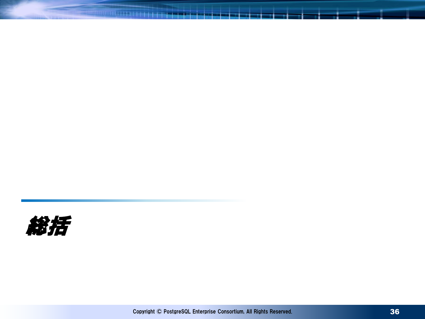

**RESIDENCE DE LA PERSONA DE LA PERSONA DE**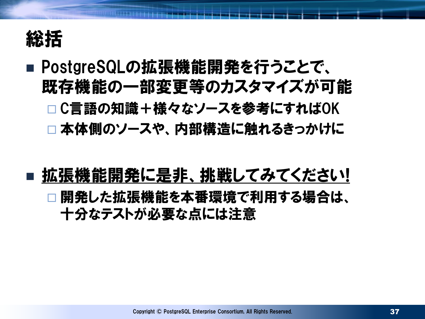

### ■ PostgreSQLの拡張機能開発を行うことで、 既存機能の一部変更等のカスタマイズが可能 □ C言語の知識+様々なソースを参考にすればOK

本体側のソースや、内部構造に触れるきっかけに

#### 拡張機能開発に是非、挑戦してみてください! □開発した拡張機能を本番環境で利用する場合は、 十分なテストが必要な点には注意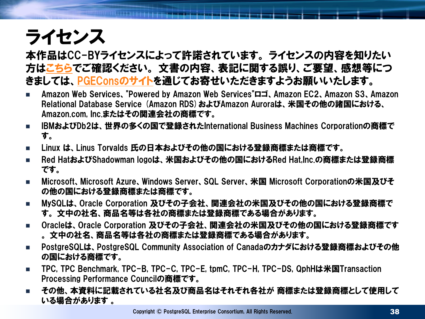# ライセンス

本作品はCC-BYライセンスによって許諾されています。 ライセンスの内容を知りたい 方は[こちらで](http://creativecommons.org/licenses/by/2.1/jp/)ご確認ください。 文書の内容、表記に関する誤り、ご要望、感想等につ きましては、[PGECons](https://www.pgecons.org/contact/)のサイトを通じてお寄せいただきますようお願いいたします。

- Amazon Web Services、"Powered by Amazon Web Services"ロゴ、Amazon EC2、Amazon S3、Amazon Relational Database Service (Amazon RDS)およびAmazon Auroraは、米国その他の諸国における、 Amazon.com, Inc.またはその関連会社の商標です。
- IBMおよびDb2は、世界の多くの国で登録されたInternational Business Machines Corporationの商標で す。
- Linux は、Linus Torvalds 氏の日本およびその他の国における登録商標または商標です。
- Red HatおよびShadowman logoは、米国およびその他の国におけるRed Hat,Inc.の商標または登録商標 です。
- Microsoft、Microsoft Azure、Windows Server、SQL Server、米国 Microsoft Corporationの米国及びそ の他の国における登録商標または商標です。
- MySQLは、Oracle Corporation 及びその子会社、関連会社の米国及びその他の国における登録商標で す。 文中の社名、商品名等は各社の商標または登録商標である場合があります。
- Oracleは、Oracle Corporation 及びその子会社、関連会社の米国及びその他の国における登録商標です 。 文中の社名、商品名等は各社の商標または登録商標である場合があります。
- PostgreSQLは、PostgreSQL Community Association of Canadaのカナダにおける登録商標およびその他 の国における商標です。
- TPC, TPC Benchmark, TPC-B, TPC-C, TPC-E, tpmC, TPC-H, TPC-DS, QphHは米国Transaction Processing Performance Councilの商標です。
- その他、本資料に記載されている社名及び商品名はそれぞれ各社が 商標または登録商標として使用して いる場合があります 。